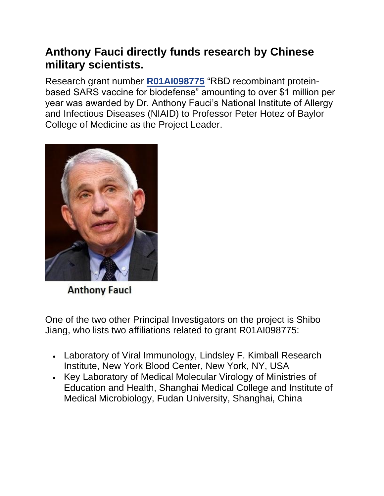## **Anthony Fauci directly funds research by Chinese military scientists.**

Research grant number **[R01AI098775](https://reporter.nih.gov/search/WNMviEkAEk-ohjdU9a9JTg/publications/project-details/9056977#sub-Projects)** "RBD recombinant proteinbased SARS vaccine for biodefense" amounting to over \$1 million per year was awarded by Dr. Anthony Fauci's National Institute of Allergy and Infectious Diseases (NIAID) to Professor Peter Hotez of Baylor College of Medicine as the Project Leader.



**Anthony Fauci** 

One of the two other Principal Investigators on the project is Shibo Jiang, who lists two affiliations related to grant R01AI098775:

- Laboratory of Viral Immunology, Lindsley F. Kimball Research Institute, New York Blood Center, New York, NY, USA
- Key Laboratory of Medical Molecular Virology of Ministries of Education and Health, Shanghai Medical College and Institute of Medical Microbiology, Fudan University, Shanghai, China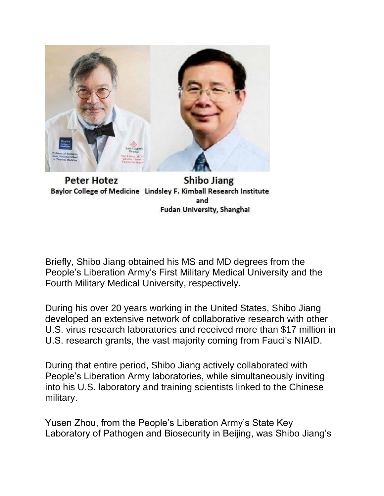

**Peter Hotez Shibo Jiang** Baylor College of Medicine Lindsley F. Kimball Research Institute and Fudan University, Shanghai

Briefly, Shibo Jiang obtained his MS and MD degrees from the People's Liberation Army's First Military Medical University and the Fourth Military Medical University, respectively.

During his over 20 years working in the United States, Shibo Jiang developed an extensive network of collaborative research with other U.S. virus research laboratories and received more than \$17 million in U.S. research grants, the vast majority coming from Fauci's NIAID.

During that entire period, Shibo Jiang actively collaborated with People's Liberation Army laboratories, while simultaneously inviting into his U.S. laboratory and training scientists linked to the Chinese military.

Yusen Zhou, from the People's Liberation Army's State Key Laboratory of Pathogen and Biosecurity in Beijing, was Shibo Jiang's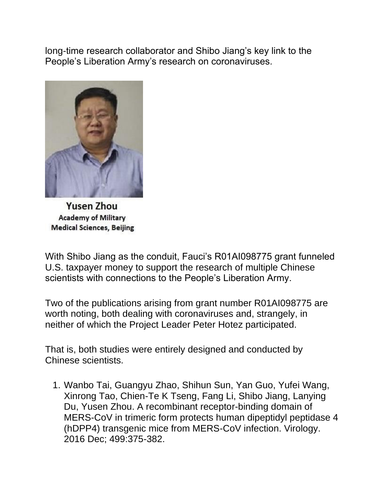long-time research collaborator and Shibo Jiang's key link to the People's Liberation Army's research on coronaviruses.



**Yusen Zhou Academy of Military Medical Sciences, Beijing** 

With Shibo Jiang as the conduit, Fauci's R01AI098775 grant funneled U.S. taxpayer money to support the research of multiple Chinese scientists with connections to the People's Liberation Army.

Two of the publications arising from grant number R01AI098775 are worth noting, both dealing with coronaviruses and, strangely, in neither of which the Project Leader Peter Hotez participated.

That is, both studies were entirely designed and conducted by Chinese scientists.

1. Wanbo Tai, Guangyu Zhao, Shihun Sun, Yan Guo, Yufei Wang, Xinrong Tao, Chien-Te K Tseng, Fang Li, Shibo Jiang, Lanying Du, Yusen Zhou. A recombinant receptor-binding domain of MERS-CoV in trimeric form protects human dipeptidyl peptidase 4 (hDPP4) transgenic mice from MERS-CoV infection. Virology. 2016 Dec; 499:375-382.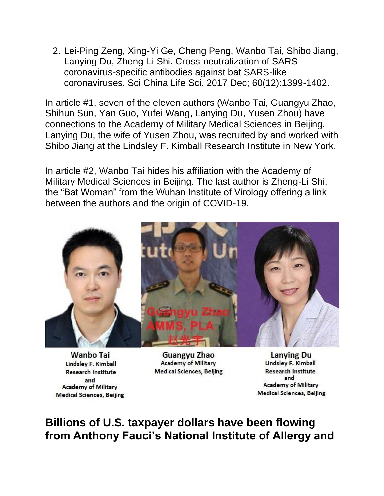2. Lei-Ping Zeng, Xing-Yi Ge, Cheng Peng, Wanbo Tai, Shibo Jiang, Lanying Du, Zheng-Li Shi. Cross-neutralization of SARS coronavirus-specific antibodies against bat SARS-like coronaviruses. Sci China Life Sci. 2017 Dec; 60(12):1399-1402.

In article #1, seven of the eleven authors (Wanbo Tai, Guangyu Zhao, Shihun Sun, Yan Guo, Yufei Wang, Lanying Du, Yusen Zhou) have connections to the Academy of Military Medical Sciences in Beijing. Lanying Du, the wife of Yusen Zhou, was recruited by and worked with Shibo Jiang at the Lindsley F. Kimball Research Institute in New York.

In article #2, Wanbo Tai hides his affiliation with the Academy of Military Medical Sciences in Beijing. The last author is Zheng-Li Shi, the "Bat Woman" from the Wuhan Institute of Virology offering a link between the authors and the origin of COVID-19.



**Wanbo Tai** Lindsley F. Kimball **Research Institute** and **Academy of Military Medical Sciences, Beijing** 

Guangyu Zhao **Academy of Military Medical Sciences, Beijing** 

**Lanying Du** Lindsley F. Kimball **Research Institute** and **Academy of Military Medical Sciences, Beijing** 

## **Billions of U.S. taxpayer dollars have been flowing from Anthony Fauci's National Institute of Allergy and**